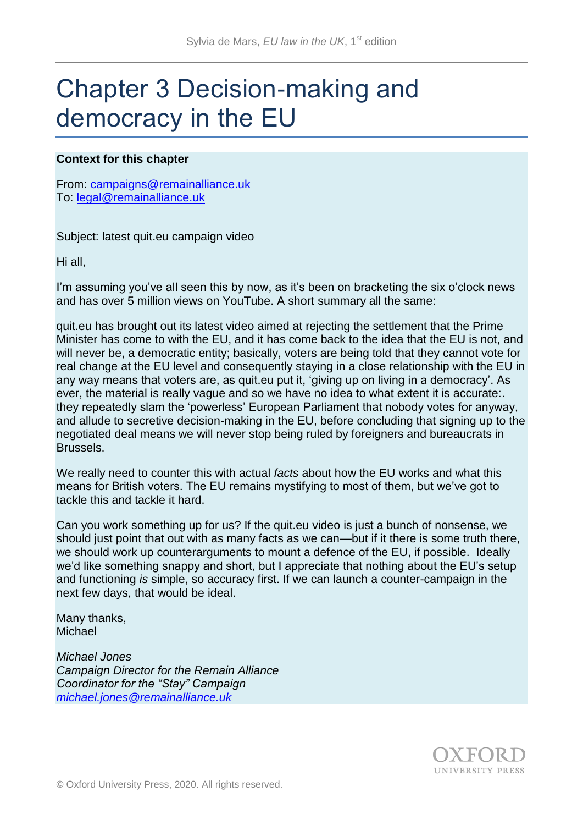# Chapter 3 Decision-making and democracy in the EU

#### **Context for this chapter**

From: [campaigns@remainalliance.uk](mailto:campaigns@remainalliance.uk) To: [legal@remainalliance.uk](mailto:legal@remainalliance.uk)

Subject: latest quit.eu campaign video

Hi all,

I'm assuming you've all seen this by now, as it's been on bracketing the six o'clock news and has over 5 million views on YouTube. A short summary all the same:

quit.eu has brought out its latest video aimed at rejecting the settlement that the Prime Minister has come to with the EU, and it has come back to the idea that the EU is not, and will never be, a democratic entity; basically, voters are being told that they cannot vote for real change at the EU level and consequently staying in a close relationship with the EU in any way means that voters are, as quit.eu put it, 'giving up on living in a democracy'. As ever, the material is really vague and so we have no idea to what extent it is accurate:. they repeatedly slam the 'powerless' European Parliament that nobody votes for anyway, and allude to secretive decision-making in the EU, before concluding that signing up to the negotiated deal means we will never stop being ruled by foreigners and bureaucrats in Brussels.

We really need to counter this with actual *facts* about how the EU works and what this means for British voters. The EU remains mystifying to most of them, but we've got to tackle this and tackle it hard.

Can you work something up for us? If the quit.eu video is just a bunch of nonsense, we should just point that out with as many facts as we can—but if it there is some truth there, we should work up counterarguments to mount a defence of the EU, if possible. Ideally we'd like something snappy and short, but I appreciate that nothing about the EU's setup and functioning *is* simple, so accuracy first. If we can launch a counter-campaign in the next few days, that would be ideal.

Many thanks, **Michael** 

*Michael Jones Campaign Director for the Remain Alliance Coordinator for the "Stay" Campaign [michael.jones@remainalliance.uk](mailto:michael.jones@remainalliance.uk)*

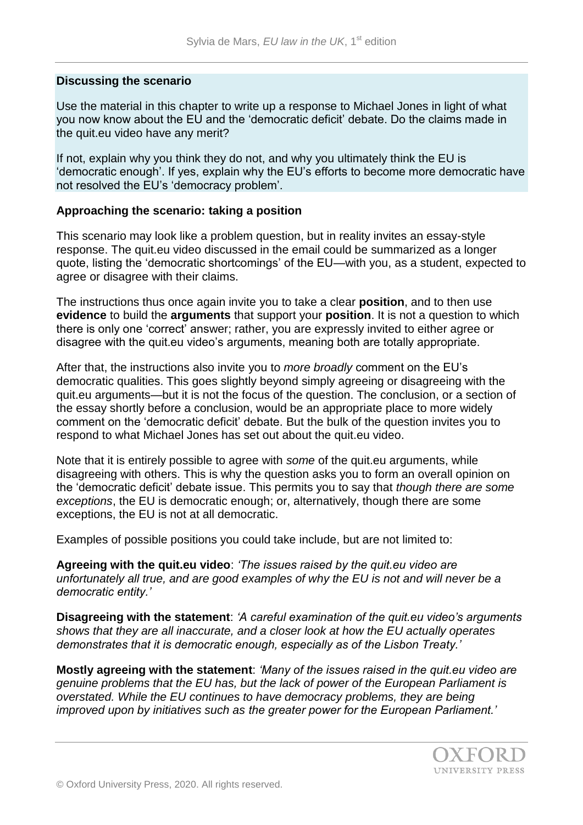#### **Discussing the scenario**

Use the material in this chapter to write up a response to Michael Jones in light of what you now know about the EU and the 'democratic deficit' debate. Do the claims made in the quit.eu video have any merit?

If not, explain why you think they do not, and why you ultimately think the EU is 'democratic enough'. If yes, explain why the EU's efforts to become more democratic have not resolved the EU's 'democracy problem'.

#### **Approaching the scenario: taking a position**

This scenario may look like a problem question, but in reality invites an essay-style response. The quit.eu video discussed in the email could be summarized as a longer quote, listing the 'democratic shortcomings' of the EU—with you, as a student, expected to agree or disagree with their claims.

The instructions thus once again invite you to take a clear **position**, and to then use **evidence** to build the **arguments** that support your **position**. It is not a question to which there is only one 'correct' answer; rather, you are expressly invited to either agree or disagree with the quit.eu video's arguments, meaning both are totally appropriate.

After that, the instructions also invite you to *more broadly* comment on the EU's democratic qualities. This goes slightly beyond simply agreeing or disagreeing with the quit.eu arguments—but it is not the focus of the question. The conclusion, or a section of the essay shortly before a conclusion, would be an appropriate place to more widely comment on the 'democratic deficit' debate. But the bulk of the question invites you to respond to what Michael Jones has set out about the quit.eu video.

Note that it is entirely possible to agree with *some* of the quit.eu arguments, while disagreeing with others. This is why the question asks you to form an overall opinion on the 'democratic deficit' debate issue. This permits you to say that *though there are some exceptions*, the EU is democratic enough; or, alternatively, though there are some exceptions, the EU is not at all democratic.

Examples of possible positions you could take include, but are not limited to:

**Agreeing with the quit.eu video**: *'The issues raised by the quit.eu video are unfortunately all true, and are good examples of why the EU is not and will never be a democratic entity.'*

**Disagreeing with the statement**: *'A careful examination of the quit.eu video's arguments shows that they are all inaccurate, and a closer look at how the EU actually operates demonstrates that it is democratic enough, especially as of the Lisbon Treaty.'* 

**Mostly agreeing with the statement**: *'Many of the issues raised in the quit.eu video are genuine problems that the EU has, but the lack of power of the European Parliament is overstated. While the EU continues to have democracy problems, they are being improved upon by initiatives such as the greater power for the European Parliament.'*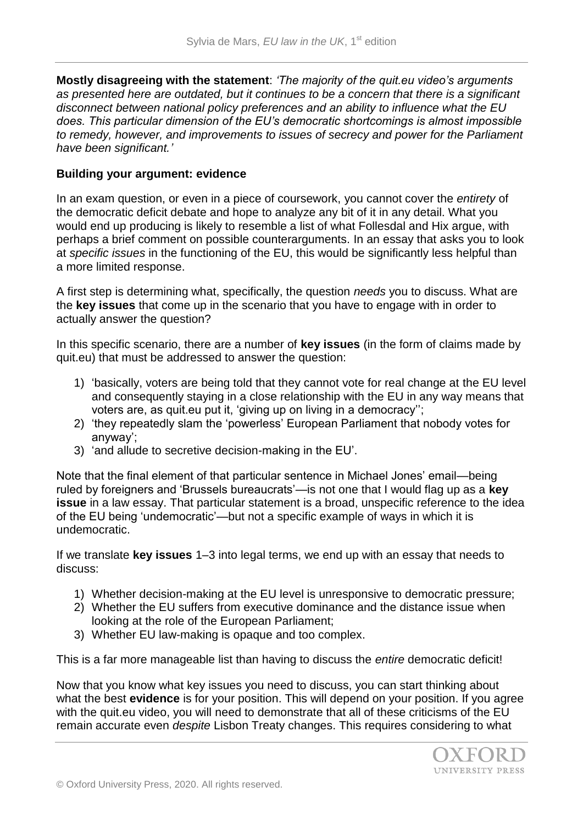**Mostly disagreeing with the statement**: *'The majority of the quit.eu video's arguments as presented here are outdated, but it continues to be a concern that there is a significant disconnect between national policy preferences and an ability to influence what the EU does. This particular dimension of the EU's democratic shortcomings is almost impossible to remedy, however, and improvements to issues of secrecy and power for the Parliament have been significant.'*

### **Building your argument: evidence**

In an exam question, or even in a piece of coursework, you cannot cover the *entirety* of the democratic deficit debate and hope to analyze any bit of it in any detail. What you would end up producing is likely to resemble a list of what Follesdal and Hix argue, with perhaps a brief comment on possible counterarguments. In an essay that asks you to look at *specific issues* in the functioning of the EU, this would be significantly less helpful than a more limited response.

A first step is determining what, specifically, the question *needs* you to discuss. What are the **key issues** that come up in the scenario that you have to engage with in order to actually answer the question?

In this specific scenario, there are a number of **key issues** (in the form of claims made by quit.eu) that must be addressed to answer the question:

- 1) 'basically, voters are being told that they cannot vote for real change at the EU level and consequently staying in a close relationship with the EU in any way means that voters are, as quit.eu put it, 'giving up on living in a democracy'';
- 2) 'they repeatedly slam the 'powerless' European Parliament that nobody votes for anyway';
- 3) 'and allude to secretive decision-making in the EU'.

Note that the final element of that particular sentence in Michael Jones' email—being ruled by foreigners and 'Brussels bureaucrats'—is not one that I would flag up as a **key issue** in a law essay. That particular statement is a broad, unspecific reference to the idea of the EU being 'undemocratic'—but not a specific example of ways in which it is undemocratic.

If we translate **key issues** 1–3 into legal terms, we end up with an essay that needs to discuss:

- 1) Whether decision-making at the EU level is unresponsive to democratic pressure;
- 2) Whether the EU suffers from executive dominance and the distance issue when looking at the role of the European Parliament;
- 3) Whether EU law-making is opaque and too complex.

This is a far more manageable list than having to discuss the *entire* democratic deficit!

Now that you know what key issues you need to discuss, you can start thinking about what the best **evidence** is for your position. This will depend on your position. If you agree with the quit.eu video, you will need to demonstrate that all of these criticisms of the EU remain accurate even *despite* Lisbon Treaty changes. This requires considering to what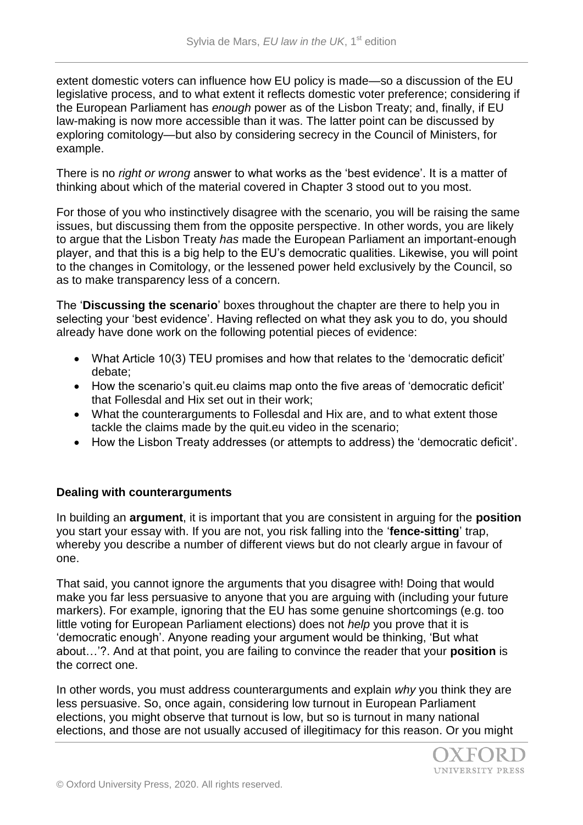extent domestic voters can influence how EU policy is made—so a discussion of the EU legislative process, and to what extent it reflects domestic voter preference; considering if the European Parliament has *enough* power as of the Lisbon Treaty; and, finally, if EU law-making is now more accessible than it was. The latter point can be discussed by exploring comitology—but also by considering secrecy in the Council of Ministers, for example.

There is no *right or wrong* answer to what works as the 'best evidence'. It is a matter of thinking about which of the material covered in Chapter 3 stood out to you most.

For those of you who instinctively disagree with the scenario, you will be raising the same issues, but discussing them from the opposite perspective. In other words, you are likely to argue that the Lisbon Treaty *has* made the European Parliament an important-enough player, and that this is a big help to the EU's democratic qualities. Likewise, you will point to the changes in Comitology, or the lessened power held exclusively by the Council, so as to make transparency less of a concern.

The '**Discussing the scenario**' boxes throughout the chapter are there to help you in selecting your 'best evidence'. Having reflected on what they ask you to do, you should already have done work on the following potential pieces of evidence:

- What Article 10(3) TEU promises and how that relates to the 'democratic deficit' debate;
- How the scenario's quit.eu claims map onto the five areas of 'democratic deficit' that Follesdal and Hix set out in their work;
- What the counterarguments to Follesdal and Hix are, and to what extent those tackle the claims made by the quit.eu video in the scenario;
- How the Lisbon Treaty addresses (or attempts to address) the 'democratic deficit'.

## **Dealing with counterarguments**

In building an **argument**, it is important that you are consistent in arguing for the **position**  you start your essay with. If you are not, you risk falling into the '**fence-sitting**' trap, whereby you describe a number of different views but do not clearly argue in favour of one.

That said, you cannot ignore the arguments that you disagree with! Doing that would make you far less persuasive to anyone that you are arguing with (including your future markers). For example, ignoring that the EU has some genuine shortcomings (e.g. too little voting for European Parliament elections) does not *help* you prove that it is 'democratic enough'. Anyone reading your argument would be thinking, 'But what about…'?. And at that point, you are failing to convince the reader that your **position** is the correct one.

In other words, you must address counterarguments and explain *why* you think they are less persuasive. So, once again, considering low turnout in European Parliament elections, you might observe that turnout is low, but so is turnout in many national elections, and those are not usually accused of illegitimacy for this reason. Or you might